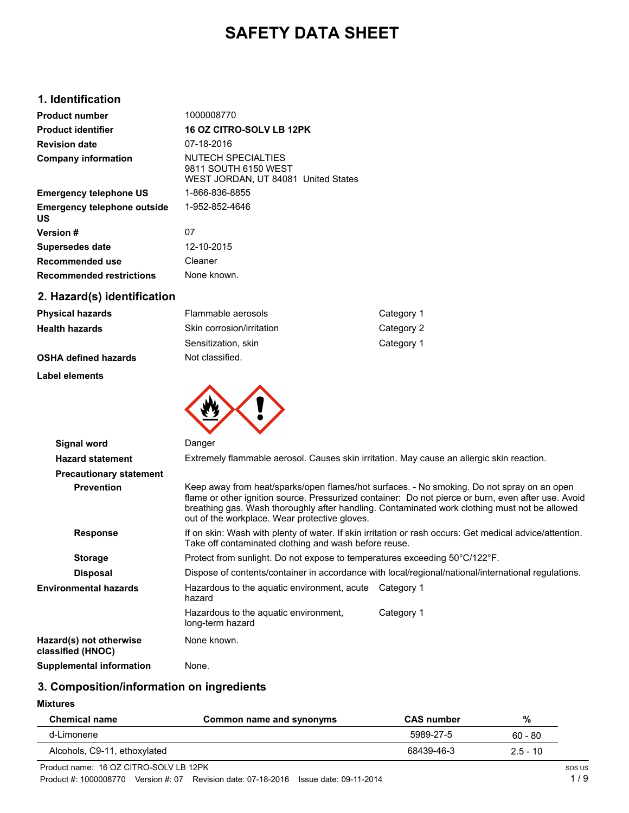# **SAFETY DATA SHEET**

## **1. Identification**

| <b>Product number</b>                    | 1000008770                                                                         |
|------------------------------------------|------------------------------------------------------------------------------------|
| <b>Product identifier</b>                | <b>16 OZ CITRO-SOLV LB 12PK</b>                                                    |
| <b>Revision date</b>                     | 07-18-2016                                                                         |
| <b>Company information</b>               | NUTFCH SPFCIAI TIFS<br>9811 SOUTH 6150 WEST<br>WEST JORDAN, UT 84081 United States |
| <b>Emergency telephone US</b>            | 1-866-836-8855                                                                     |
| <b>Emergency telephone outside</b><br>US | 1-952-852-4646                                                                     |
| Version #                                | 07                                                                                 |
| Supersedes date                          | 12-10-2015                                                                         |
| Recommended use                          | Cleaner                                                                            |
| <b>Recommended restrictions</b>          | None known.                                                                        |
|                                          |                                                                                    |

# **2. Hazard(s) identification**

| Physical hazards     | Flammable aerosols        | Category 1 |
|----------------------|---------------------------|------------|
| Health hazards       | Skin corrosion/irritation | Category 2 |
|                      | Sensitization, skin       | Category 1 |
| OSHA defined hazards | Not classified.           |            |

#### **Label elements**



| Signal word                                  | Danger                                                                                                                                                           |                                                                                                                                                                                                                                                                                                    |  |
|----------------------------------------------|------------------------------------------------------------------------------------------------------------------------------------------------------------------|----------------------------------------------------------------------------------------------------------------------------------------------------------------------------------------------------------------------------------------------------------------------------------------------------|--|
| <b>Hazard statement</b>                      | Extremely flammable aerosol. Causes skin irritation. May cause an allergic skin reaction.                                                                        |                                                                                                                                                                                                                                                                                                    |  |
| <b>Precautionary statement</b>               |                                                                                                                                                                  |                                                                                                                                                                                                                                                                                                    |  |
| <b>Prevention</b>                            | out of the workplace. Wear protective gloves.                                                                                                                    | Keep away from heat/sparks/open flames/hot surfaces. - No smoking. Do not spray on an open<br>flame or other ignition source. Pressurized container: Do not pierce or burn, even after use. Avoid<br>breathing gas. Wash thoroughly after handling. Contaminated work clothing must not be allowed |  |
| <b>Response</b>                              | If on skin: Wash with plenty of water. If skin irritation or rash occurs: Get medical advice/attention.<br>Take off contaminated clothing and wash before reuse. |                                                                                                                                                                                                                                                                                                    |  |
| <b>Storage</b>                               | Protect from sunlight. Do not expose to temperatures exceeding 50°C/122°F.                                                                                       |                                                                                                                                                                                                                                                                                                    |  |
| <b>Disposal</b>                              |                                                                                                                                                                  | Dispose of contents/container in accordance with local/regional/national/international regulations.                                                                                                                                                                                                |  |
| Environmental hazards                        | Hazardous to the aguatic environment, acute Category 1<br>hazard                                                                                                 |                                                                                                                                                                                                                                                                                                    |  |
|                                              | Hazardous to the aquatic environment,<br>long-term hazard                                                                                                        | Category 1                                                                                                                                                                                                                                                                                         |  |
| Hazard(s) not otherwise<br>classified (HNOC) | None known.                                                                                                                                                      |                                                                                                                                                                                                                                                                                                    |  |
| Supplemental information                     | None.                                                                                                                                                            |                                                                                                                                                                                                                                                                                                    |  |

# **3. Composition/information on ingredients**

## **Mixtures**

| <b>Chemical name</b>         | Common name and synonyms | <b>CAS</b> number | %          |
|------------------------------|--------------------------|-------------------|------------|
| d-Limonene                   |                          | 5989-27-5         | $60 - 80$  |
| Alcohols, C9-11, ethoxylated |                          | 68439-46-3        | $2.5 - 10$ |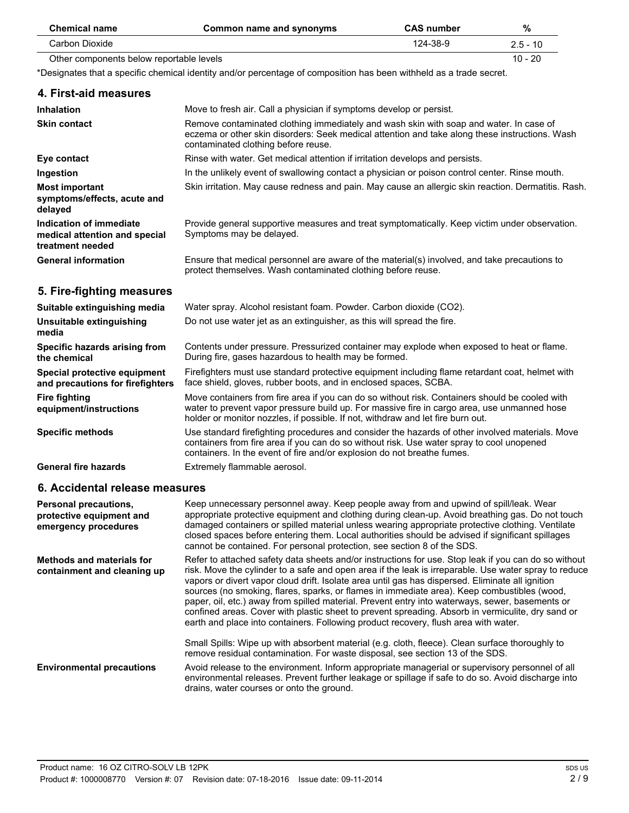| <b>Chemical name</b>                     | Common name and synonyms                                                                                        | <b>CAS</b> number | %          |
|------------------------------------------|-----------------------------------------------------------------------------------------------------------------|-------------------|------------|
| Carbon Dioxide                           |                                                                                                                 | 124-38-9          | $2.5 - 10$ |
| Other components below reportable levels |                                                                                                                 |                   | $10 - 20$  |
|                                          | Deelmeeter thet e oneelfic decorted blantik, andformancedeus of commercitien has heen withheld een staads eeust |                   |            |

| *Designates that a specific chemical identity and/or percentage of composition has been withheld as a trade secret. |  |  |  |
|---------------------------------------------------------------------------------------------------------------------|--|--|--|
|                                                                                                                     |  |  |  |

| 4. First-aid measures                                                        |                                                                                                                                                                                                                                                                                  |
|------------------------------------------------------------------------------|----------------------------------------------------------------------------------------------------------------------------------------------------------------------------------------------------------------------------------------------------------------------------------|
| <b>Inhalation</b>                                                            | Move to fresh air. Call a physician if symptoms develop or persist.                                                                                                                                                                                                              |
| <b>Skin contact</b>                                                          | Remove contaminated clothing immediately and wash skin with soap and water. In case of<br>eczema or other skin disorders: Seek medical attention and take along these instructions. Wash<br>contaminated clothing before reuse.                                                  |
| Eye contact                                                                  | Rinse with water. Get medical attention if irritation develops and persists.                                                                                                                                                                                                     |
| Ingestion                                                                    | In the unlikely event of swallowing contact a physician or poison control center. Rinse mouth.                                                                                                                                                                                   |
| <b>Most important</b><br>symptoms/effects, acute and<br>delayed              | Skin irritation. May cause redness and pain. May cause an allergic skin reaction. Dermatitis. Rash.                                                                                                                                                                              |
| Indication of immediate<br>medical attention and special<br>treatment needed | Provide general supportive measures and treat symptomatically. Keep victim under observation.<br>Symptoms may be delayed.                                                                                                                                                        |
| <b>General information</b>                                                   | Ensure that medical personnel are aware of the material(s) involved, and take precautions to<br>protect themselves. Wash contaminated clothing before reuse.                                                                                                                     |
| 5. Fire-fighting measures                                                    |                                                                                                                                                                                                                                                                                  |
| Suitable extinguishing media                                                 | Water spray. Alcohol resistant foam. Powder. Carbon dioxide (CO2).                                                                                                                                                                                                               |
| Unsuitable extinguishing<br>media                                            | Do not use water jet as an extinguisher, as this will spread the fire.                                                                                                                                                                                                           |
| Specific hazards arising from<br>the chemical                                | Contents under pressure. Pressurized container may explode when exposed to heat or flame.<br>During fire, gases hazardous to health may be formed.                                                                                                                               |
| Special protective equipment<br>and precautions for firefighters             | Firefighters must use standard protective equipment including flame retardant coat, helmet with<br>face shield, gloves, rubber boots, and in enclosed spaces, SCBA.                                                                                                              |
| <b>Fire fighting</b><br>equipment/instructions                               | Move containers from fire area if you can do so without risk. Containers should be cooled with<br>water to prevent vapor pressure build up. For massive fire in cargo area, use unmanned hose<br>holder or monitor nozzles, if possible. If not, withdraw and let fire burn out. |
| <b>Specific methods</b>                                                      | Use standard firefighting procedures and consider the hazards of other involved materials. Move<br>containers from fire area if you can do so without risk. Use water spray to cool unopened<br>containers. In the event of fire and/or explosion do not breathe fumes.          |

General fire hazards **Extremely flammable aerosol.** 

## **6. Accidental release measures**

| <b>Personal precautions,</b><br>protective equipment and<br>emergency procedures | Keep unnecessary personnel away. Keep people away from and upwind of spill/leak. Wear<br>appropriate protective equipment and clothing during clean-up. Avoid breathing gas. Do not touch<br>damaged containers or spilled material unless wearing appropriate protective clothing. Ventilate<br>closed spaces before entering them. Local authorities should be advised if significant spillages<br>cannot be contained. For personal protection, see section 8 of the SDS.                                                                                                                                                                                                                                                                                                                                       |
|----------------------------------------------------------------------------------|--------------------------------------------------------------------------------------------------------------------------------------------------------------------------------------------------------------------------------------------------------------------------------------------------------------------------------------------------------------------------------------------------------------------------------------------------------------------------------------------------------------------------------------------------------------------------------------------------------------------------------------------------------------------------------------------------------------------------------------------------------------------------------------------------------------------|
| <b>Methods and materials for</b><br>containment and cleaning up                  | Refer to attached safety data sheets and/or instructions for use. Stop leak if you can do so without<br>risk. Move the cylinder to a safe and open area if the leak is irreparable. Use water spray to reduce<br>vapors or divert vapor cloud drift. Isolate area until gas has dispersed. Eliminate all ignition<br>sources (no smoking, flares, sparks, or flames in immediate area). Keep combustibles (wood,<br>paper, oil, etc.) away from spilled material. Prevent entry into waterways, sewer, basements or<br>confined areas. Cover with plastic sheet to prevent spreading. Absorb in vermiculite, dry sand or<br>earth and place into containers. Following product recovery, flush area with water.<br>Small Spills: Wipe up with absorbent material (e.g. cloth, fleece). Clean surface thoroughly to |
|                                                                                  | remove residual contamination. For waste disposal, see section 13 of the SDS.                                                                                                                                                                                                                                                                                                                                                                                                                                                                                                                                                                                                                                                                                                                                      |
| <b>Environmental precautions</b>                                                 | Avoid release to the environment. Inform appropriate managerial or supervisory personnel of all<br>environmental releases. Prevent further leakage or spillage if safe to do so. Avoid discharge into<br>drains, water courses or onto the ground.                                                                                                                                                                                                                                                                                                                                                                                                                                                                                                                                                                 |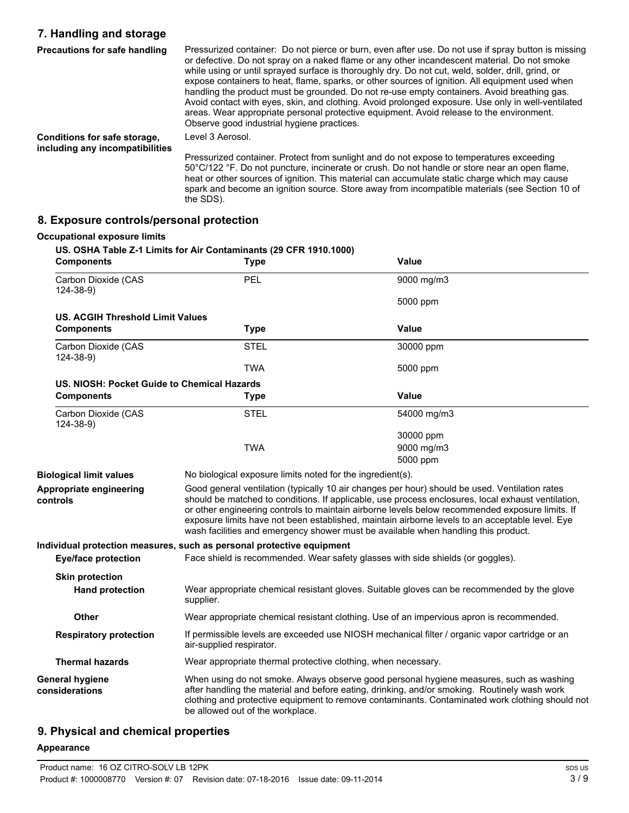# **7. Handling and storage**

| <b>Precautions for safe handling</b>                            | Pressurized container: Do not pierce or burn, even after use. Do not use if spray button is missing<br>or defective. Do not spray on a naked flame or any other incandescent material. Do not smoke<br>while using or until sprayed surface is thoroughly dry. Do not cut, weld, solder, drill, grind, or<br>expose containers to heat, flame, sparks, or other sources of ignition. All equipment used when<br>handling the product must be grounded. Do not re-use empty containers. Avoid breathing gas.<br>Avoid contact with eyes, skin, and clothing. Avoid prolonged exposure. Use only in well-ventilated<br>areas. Wear appropriate personal protective equipment. Avoid release to the environment.<br>Observe good industrial hygiene practices. |
|-----------------------------------------------------------------|-------------------------------------------------------------------------------------------------------------------------------------------------------------------------------------------------------------------------------------------------------------------------------------------------------------------------------------------------------------------------------------------------------------------------------------------------------------------------------------------------------------------------------------------------------------------------------------------------------------------------------------------------------------------------------------------------------------------------------------------------------------|
| Conditions for safe storage,<br>including any incompatibilities | Level 3 Aerosol.                                                                                                                                                                                                                                                                                                                                                                                                                                                                                                                                                                                                                                                                                                                                            |
|                                                                 | Pressurized container. Protect from sunlight and do not expose to temperatures exceeding<br>50°C/122 °F. Do not puncture, incinerate or crush. Do not handle or store near an open flame,<br>heat or other sources of ignition. This material can accumulate static charge which may cause                                                                                                                                                                                                                                                                                                                                                                                                                                                                  |

spark and become an ignition source. Store away from incompatible materials (see Section 10 of

## **8. Exposure controls/personal protection**

the SDS).

#### **Occupational exposure limits**

| <b>Components</b>                           | US. OSHA Table Z-1 Limits for Air Contaminants (29 CFR 1910.1000)<br><b>Type</b> | Value       |
|---------------------------------------------|----------------------------------------------------------------------------------|-------------|
| Carbon Dioxide (CAS<br>$124 - 38 - 9$       | <b>PEL</b>                                                                       | 9000 mg/m3  |
|                                             |                                                                                  | 5000 ppm    |
| <b>US. ACGIH Threshold Limit Values</b>     |                                                                                  |             |
| <b>Components</b>                           | Type                                                                             | Value       |
| Carbon Dioxide (CAS<br>124-38-9)            | <b>STEL</b>                                                                      | 30000 ppm   |
|                                             | <b>TWA</b>                                                                       | 5000 ppm    |
| US. NIOSH: Pocket Guide to Chemical Hazards |                                                                                  |             |
| <b>Components</b>                           | Type                                                                             | Value       |
| Carbon Dioxide (CAS<br>124-38-9)            | <b>STEL</b>                                                                      | 54000 mg/m3 |
|                                             |                                                                                  | 30000 ppm   |
|                                             | TWA                                                                              | 9000 mg/m3  |
|                                             |                                                                                  | 5000 ppm    |

| <b>Biological limit values</b>      | No biological exposure limits noted for the ingredient(s).                                                                                                                                                                                                                                                                                                                                                                                                                                       |
|-------------------------------------|--------------------------------------------------------------------------------------------------------------------------------------------------------------------------------------------------------------------------------------------------------------------------------------------------------------------------------------------------------------------------------------------------------------------------------------------------------------------------------------------------|
| Appropriate engineering<br>controls | Good general ventilation (typically 10 air changes per hour) should be used. Ventilation rates<br>should be matched to conditions. If applicable, use process enclosures, local exhaust ventilation,<br>or other engineering controls to maintain airborne levels below recommended exposure limits. If<br>exposure limits have not been established, maintain airborne levels to an acceptable level. Eye<br>wash facilities and emergency shower must be available when handling this product. |
|                                     | Individual protection measures, such as personal protective equipment                                                                                                                                                                                                                                                                                                                                                                                                                            |
| Eye/face protection                 | Face shield is recommended. Wear safety glasses with side shields (or goggles).                                                                                                                                                                                                                                                                                                                                                                                                                  |
| <b>Skin protection</b>              |                                                                                                                                                                                                                                                                                                                                                                                                                                                                                                  |
| <b>Hand protection</b>              | Wear appropriate chemical resistant gloves. Suitable gloves can be recommended by the glove<br>supplier.                                                                                                                                                                                                                                                                                                                                                                                         |
| <b>Other</b>                        | Wear appropriate chemical resistant clothing. Use of an impervious apron is recommended.                                                                                                                                                                                                                                                                                                                                                                                                         |
| <b>Respiratory protection</b>       | If permissible levels are exceeded use NIOSH mechanical filter / organic vapor cartridge or an<br>air-supplied respirator.                                                                                                                                                                                                                                                                                                                                                                       |
| <b>Thermal hazards</b>              | Wear appropriate thermal protective clothing, when necessary.                                                                                                                                                                                                                                                                                                                                                                                                                                    |
| General hygiene<br>considerations   | When using do not smoke. Always observe good personal hygiene measures, such as washing<br>after handling the material and before eating, drinking, and/or smoking. Routinely wash work<br>clothing and protective equipment to remove contaminants. Contaminated work clothing should not<br>be allowed out of the workplace.                                                                                                                                                                   |

# **9. Physical and chemical properties**

#### **Appearance**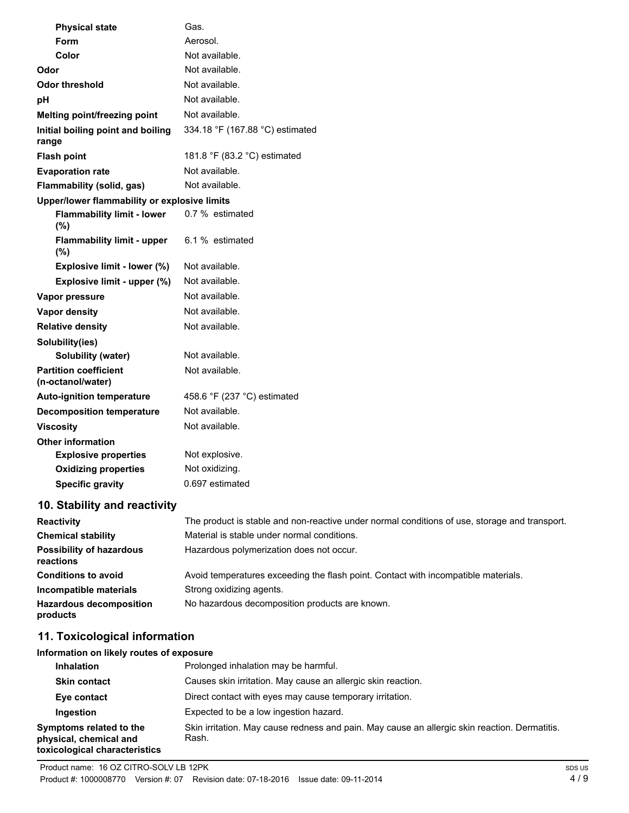| <b>Physical state</b>                             | Gas.                                                                                          |
|---------------------------------------------------|-----------------------------------------------------------------------------------------------|
| Form                                              | Aerosol.                                                                                      |
| Color                                             | Not available.                                                                                |
| Odor                                              | Not available.                                                                                |
| <b>Odor threshold</b>                             | Not available.                                                                                |
| рH                                                | Not available.                                                                                |
| Melting point/freezing point                      | Not available.                                                                                |
| Initial boiling point and boiling<br>range        | 334.18 °F (167.88 °C) estimated                                                               |
| <b>Flash point</b>                                | 181.8 °F (83.2 °C) estimated                                                                  |
| <b>Evaporation rate</b>                           | Not available.                                                                                |
| Flammability (solid, gas)                         | Not available.                                                                                |
| Upper/lower flammability or explosive limits      |                                                                                               |
| <b>Flammability limit - lower</b><br>(%)          | 0.7 % estimated                                                                               |
| <b>Flammability limit - upper</b><br>$(\% )$      | 6.1 % estimated                                                                               |
| Explosive limit - lower (%)                       | Not available.                                                                                |
| Explosive limit - upper (%)                       | Not available.                                                                                |
| Vapor pressure                                    | Not available.                                                                                |
| Vapor density                                     | Not available.                                                                                |
| <b>Relative density</b>                           | Not available.                                                                                |
| Solubility(ies)                                   |                                                                                               |
| <b>Solubility (water)</b>                         | Not available.                                                                                |
| <b>Partition coefficient</b><br>(n-octanol/water) | Not available.                                                                                |
| <b>Auto-ignition temperature</b>                  | 458.6 °F (237 °C) estimated                                                                   |
| <b>Decomposition temperature</b>                  | Not available.                                                                                |
| <b>Viscosity</b>                                  | Not available.                                                                                |
| <b>Other information</b>                          |                                                                                               |
| <b>Explosive properties</b>                       | Not explosive.                                                                                |
| <b>Oxidizing properties</b>                       | Not oxidizing.                                                                                |
| <b>Specific gravity</b>                           | 0.697 estimated                                                                               |
| 10. Stability and reactivity                      |                                                                                               |
| <b>Reactivity</b>                                 | The product is stable and non-reactive under normal conditions of use, storage and transport. |
| <b>Chemical stability</b>                         | Material is stable under normal conditions.                                                   |
| <b>Possibility of hazardous</b>                   | Hazardous polymerization does not occur.                                                      |

| <b>Possibility of hazardous</b><br>reactions | Hazardous polymerization does not occur.                                           |
|----------------------------------------------|------------------------------------------------------------------------------------|
| <b>Conditions to avoid</b>                   | Avoid temperatures exceeding the flash point. Contact with incompatible materials. |
| Incompatible materials                       | Strong oxidizing agents.                                                           |
| <b>Hazardous decomposition</b><br>products   | No hazardous decomposition products are known.                                     |

# **11. Toxicological information**

# **Information on likely routes of exposure**

| <b>Inhalation</b>                                                                  | Prolonged inhalation may be harmful.                                                                   |
|------------------------------------------------------------------------------------|--------------------------------------------------------------------------------------------------------|
| <b>Skin contact</b>                                                                | Causes skin irritation. May cause an allergic skin reaction.                                           |
| Eye contact                                                                        | Direct contact with eyes may cause temporary irritation.                                               |
| Ingestion                                                                          | Expected to be a low ingestion hazard.                                                                 |
| Symptoms related to the<br>physical, chemical and<br>toxicological characteristics | Skin irritation. May cause redness and pain. May cause an allergic skin reaction. Dermatitis.<br>Rash. |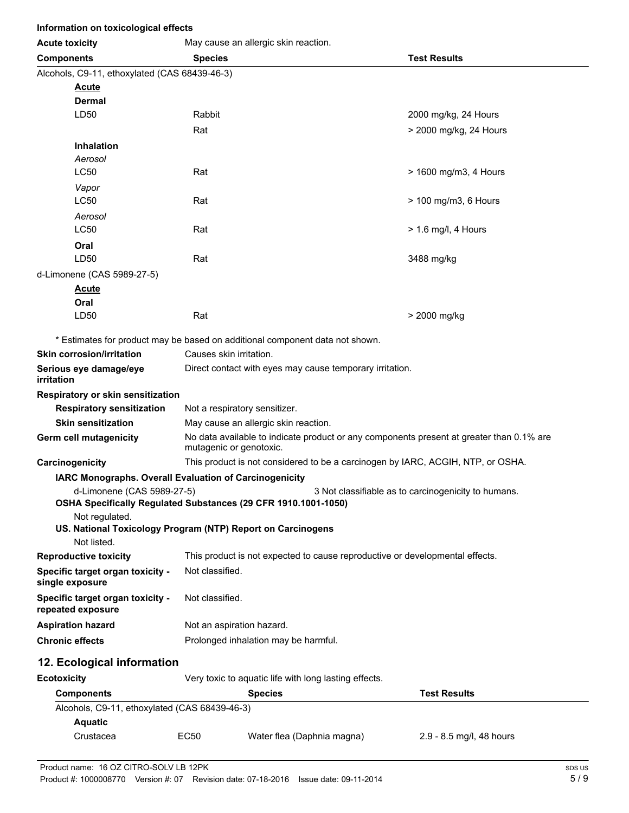| Information on toxicological effects                                             |                                                                                                                     |                                                                              |                                                                                 |  |
|----------------------------------------------------------------------------------|---------------------------------------------------------------------------------------------------------------------|------------------------------------------------------------------------------|---------------------------------------------------------------------------------|--|
| <b>Acute toxicity</b>                                                            |                                                                                                                     | May cause an allergic skin reaction.                                         |                                                                                 |  |
| <b>Components</b>                                                                | <b>Test Results</b><br><b>Species</b>                                                                               |                                                                              |                                                                                 |  |
| Alcohols, C9-11, ethoxylated (CAS 68439-46-3)                                    |                                                                                                                     |                                                                              |                                                                                 |  |
| <b>Acute</b>                                                                     |                                                                                                                     |                                                                              |                                                                                 |  |
| <b>Dermal</b>                                                                    |                                                                                                                     |                                                                              |                                                                                 |  |
| LD50                                                                             | Rabbit                                                                                                              |                                                                              | 2000 mg/kg, 24 Hours                                                            |  |
|                                                                                  | Rat                                                                                                                 |                                                                              | > 2000 mg/kg, 24 Hours                                                          |  |
| <b>Inhalation</b>                                                                |                                                                                                                     |                                                                              |                                                                                 |  |
| Aerosol                                                                          |                                                                                                                     |                                                                              |                                                                                 |  |
| <b>LC50</b>                                                                      | Rat                                                                                                                 |                                                                              | > 1600 mg/m3, 4 Hours                                                           |  |
| Vapor                                                                            |                                                                                                                     |                                                                              |                                                                                 |  |
| <b>LC50</b>                                                                      | Rat                                                                                                                 |                                                                              | > 100 mg/m3, 6 Hours                                                            |  |
| Aerosol                                                                          |                                                                                                                     |                                                                              |                                                                                 |  |
| <b>LC50</b>                                                                      | Rat                                                                                                                 |                                                                              | $> 1.6$ mg/l, 4 Hours                                                           |  |
| Oral<br>LD <sub>50</sub>                                                         | Rat                                                                                                                 |                                                                              |                                                                                 |  |
|                                                                                  |                                                                                                                     |                                                                              | 3488 mg/kg                                                                      |  |
| d-Limonene (CAS 5989-27-5)                                                       |                                                                                                                     |                                                                              |                                                                                 |  |
| <u>Acute</u><br>Oral                                                             |                                                                                                                     |                                                                              |                                                                                 |  |
| LD50                                                                             | Rat                                                                                                                 |                                                                              | > 2000 mg/kg                                                                    |  |
|                                                                                  |                                                                                                                     |                                                                              |                                                                                 |  |
| * Estimates for product may be based on additional component data not shown.     |                                                                                                                     |                                                                              |                                                                                 |  |
| <b>Skin corrosion/irritation</b>                                                 | Causes skin irritation.                                                                                             |                                                                              |                                                                                 |  |
| Serious eye damage/eye<br>irritation                                             | Direct contact with eyes may cause temporary irritation.                                                            |                                                                              |                                                                                 |  |
| Respiratory or skin sensitization                                                |                                                                                                                     |                                                                              |                                                                                 |  |
| <b>Respiratory sensitization</b>                                                 | Not a respiratory sensitizer.                                                                                       |                                                                              |                                                                                 |  |
| <b>Skin sensitization</b>                                                        |                                                                                                                     | May cause an allergic skin reaction.                                         |                                                                                 |  |
| Germ cell mutagenicity                                                           | No data available to indicate product or any components present at greater than 0.1% are<br>mutagenic or genotoxic. |                                                                              |                                                                                 |  |
| Carcinogenicity                                                                  |                                                                                                                     |                                                                              | This product is not considered to be a carcinogen by IARC, ACGIH, NTP, or OSHA. |  |
| IARC Monographs. Overall Evaluation of Carcinogenicity                           |                                                                                                                     |                                                                              |                                                                                 |  |
| d-Limonene (CAS 5989-27-5)                                                       |                                                                                                                     |                                                                              | 3 Not classifiable as to carcinogenicity to humans.                             |  |
| OSHA Specifically Regulated Substances (29 CFR 1910.1001-1050)<br>Not regulated. |                                                                                                                     |                                                                              |                                                                                 |  |
| US. National Toxicology Program (NTP) Report on Carcinogens                      |                                                                                                                     |                                                                              |                                                                                 |  |
| Not listed.                                                                      |                                                                                                                     |                                                                              |                                                                                 |  |
| <b>Reproductive toxicity</b>                                                     |                                                                                                                     | This product is not expected to cause reproductive or developmental effects. |                                                                                 |  |
| Specific target organ toxicity -<br>single exposure                              | Not classified.                                                                                                     |                                                                              |                                                                                 |  |
| Specific target organ toxicity -<br>repeated exposure                            | Not classified.                                                                                                     |                                                                              |                                                                                 |  |
| <b>Aspiration hazard</b>                                                         | Not an aspiration hazard.                                                                                           |                                                                              |                                                                                 |  |
| <b>Chronic effects</b>                                                           | Prolonged inhalation may be harmful.                                                                                |                                                                              |                                                                                 |  |
|                                                                                  |                                                                                                                     |                                                                              |                                                                                 |  |
| 12. Ecological information                                                       |                                                                                                                     |                                                                              |                                                                                 |  |
| <b>Ecotoxicity</b>                                                               | Very toxic to aquatic life with long lasting effects.                                                               |                                                                              |                                                                                 |  |
| <b>Components</b>                                                                | <b>Species</b>                                                                                                      |                                                                              | <b>Test Results</b>                                                             |  |
| Alcohols, C9-11, ethoxylated (CAS 68439-46-3)                                    |                                                                                                                     |                                                                              |                                                                                 |  |
| <b>Aquatic</b>                                                                   |                                                                                                                     |                                                                              |                                                                                 |  |
| Crustacea                                                                        | EC50                                                                                                                | Water flea (Daphnia magna)                                                   | 2.9 - 8.5 mg/l, 48 hours                                                        |  |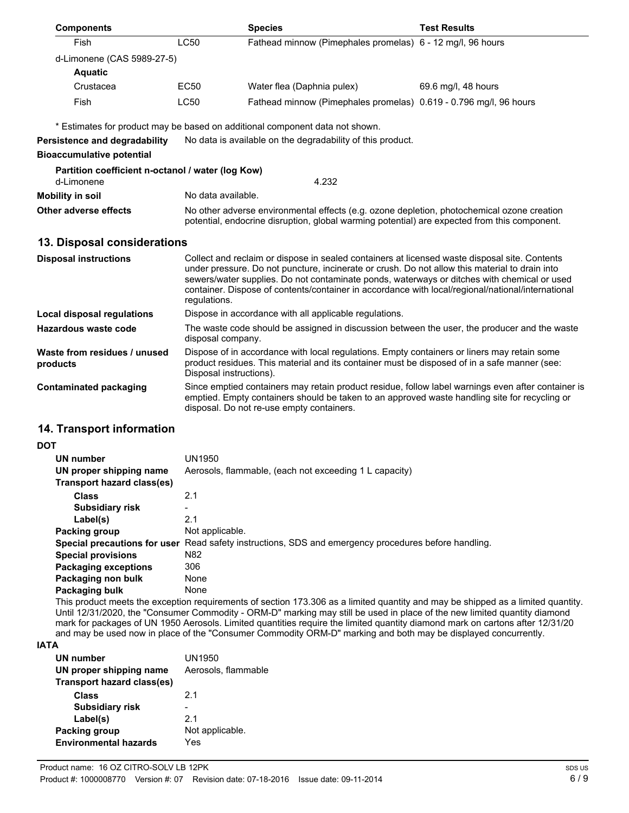| <b>Components</b>                                 |                                                                                                                   | <b>Species</b>                                                                                                                                                                                                                                                                                                                                                                                      | <b>Test Results</b> |
|---------------------------------------------------|-------------------------------------------------------------------------------------------------------------------|-----------------------------------------------------------------------------------------------------------------------------------------------------------------------------------------------------------------------------------------------------------------------------------------------------------------------------------------------------------------------------------------------------|---------------------|
| Fish                                              | <b>LC50</b>                                                                                                       | Fathead minnow (Pimephales promelas) 6 - 12 mg/l, 96 hours                                                                                                                                                                                                                                                                                                                                          |                     |
| d-Limonene (CAS 5989-27-5)                        |                                                                                                                   |                                                                                                                                                                                                                                                                                                                                                                                                     |                     |
| <b>Aquatic</b>                                    |                                                                                                                   |                                                                                                                                                                                                                                                                                                                                                                                                     |                     |
| Crustacea                                         | <b>EC50</b>                                                                                                       | Water flea (Daphnia pulex)                                                                                                                                                                                                                                                                                                                                                                          | 69.6 mg/l, 48 hours |
| Fish                                              | <b>LC50</b>                                                                                                       | Fathead minnow (Pimephales promelas) 0.619 - 0.796 mg/l, 96 hours                                                                                                                                                                                                                                                                                                                                   |                     |
|                                                   |                                                                                                                   | * Estimates for product may be based on additional component data not shown.                                                                                                                                                                                                                                                                                                                        |                     |
| <b>Persistence and degradability</b>              |                                                                                                                   | No data is available on the degradability of this product.                                                                                                                                                                                                                                                                                                                                          |                     |
| <b>Bioaccumulative potential</b>                  |                                                                                                                   |                                                                                                                                                                                                                                                                                                                                                                                                     |                     |
| Partition coefficient n-octanol / water (log Kow) |                                                                                                                   |                                                                                                                                                                                                                                                                                                                                                                                                     |                     |
| d-Limonene                                        | 4.232                                                                                                             |                                                                                                                                                                                                                                                                                                                                                                                                     |                     |
| <b>Mobility in soil</b>                           | No data available.                                                                                                |                                                                                                                                                                                                                                                                                                                                                                                                     |                     |
| <b>Other adverse effects</b>                      |                                                                                                                   | No other adverse environmental effects (e.g. ozone depletion, photochemical ozone creation<br>potential, endocrine disruption, global warming potential) are expected from this component.                                                                                                                                                                                                          |                     |
| 13. Disposal considerations                       |                                                                                                                   |                                                                                                                                                                                                                                                                                                                                                                                                     |                     |
| <b>Disposal instructions</b>                      | regulations.                                                                                                      | Collect and reclaim or dispose in sealed containers at licensed waste disposal site. Contents<br>under pressure. Do not puncture, incinerate or crush. Do not allow this material to drain into<br>sewers/water supplies. Do not contaminate ponds, waterways or ditches with chemical or used<br>container. Dispose of contents/container in accordance with local/regional/national/international |                     |
| Local disposal regulations                        |                                                                                                                   | Dispose in accordance with all applicable regulations.                                                                                                                                                                                                                                                                                                                                              |                     |
| <b>Hazardous waste code</b>                       | The waste code should be assigned in discussion between the user, the producer and the waste<br>disposal company. |                                                                                                                                                                                                                                                                                                                                                                                                     |                     |
| Waste from residues / unused<br>products          | Disposal instructions).                                                                                           | Dispose of in accordance with local regulations. Empty containers or liners may retain some<br>product residues. This material and its container must be disposed of in a safe manner (see:                                                                                                                                                                                                         |                     |
| <b>Contaminated packaging</b>                     |                                                                                                                   | Since emptied containers may retain product residue, follow label warnings even after container is<br>emptied. Empty containers should be taken to an approved waste handling site for recycling or<br>disposal. Do not re-use empty containers.                                                                                                                                                    |                     |
| 14. Transport information                         |                                                                                                                   |                                                                                                                                                                                                                                                                                                                                                                                                     |                     |

#### **DOT**

| <b>UN number</b><br>UN proper shipping name<br>Transport hazard class(es) | UN1950<br>Aerosols, flammable, (each not exceeding 1 L capacity)                                     |
|---------------------------------------------------------------------------|------------------------------------------------------------------------------------------------------|
| <b>Class</b>                                                              | 2.1                                                                                                  |
| Subsidiary risk                                                           | -                                                                                                    |
| Label(s)                                                                  | 2.1                                                                                                  |
| Packing group                                                             | Not applicable.                                                                                      |
|                                                                           | Special precautions for user Read safety instructions, SDS and emergency procedures before handling. |
| <b>Special provisions</b>                                                 | N82                                                                                                  |
| <b>Packaging exceptions</b>                                               | 306                                                                                                  |
| Packaging non bulk                                                        | None                                                                                                 |
| Packaging bulk                                                            | None                                                                                                 |

This product meets the exception requirements of section 173.306 as a limited quantity and may be shipped as a limited quantity. Until 12/31/2020, the "Consumer Commodity - ORM-D" marking may still be used in place of the new limited quantity diamond mark for packages of UN 1950 Aerosols. Limited quantities require the limited quantity diamond mark on cartons after 12/31/20 and may be used now in place of the "Consumer Commodity ORM-D" marking and both may be displayed concurrently.

#### **IATA**

| <b>UN number</b><br>UN proper shipping name<br>Transport hazard class(es) | UN1950<br>Aerosols, flammable |
|---------------------------------------------------------------------------|-------------------------------|
| Class                                                                     | 21                            |
| <b>Subsidiary risk</b>                                                    |                               |
| Label(s)                                                                  | 21                            |
| Packing group                                                             | Not applicable.               |
| <b>Environmental hazards</b>                                              | Yes                           |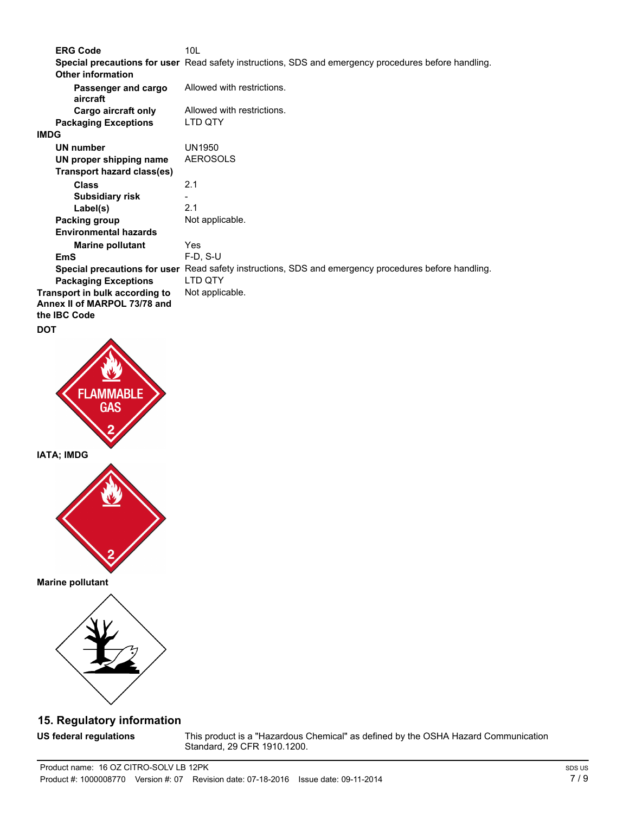**ERG Code** 10L **Special precautions for user** Read safety instructions, SDS and emergency procedures before handling. **Passenger and cargo** Allowed with restrictions. **aircraft Other information Cargo aircraft only** Allowed with restrictions. **Packaging Exceptions** LTD QTY **IMDG UN number** UN1950 **UN proper shipping name** AEROSOLS **Class** 2.1 **Transport hazard class(es) Subsidiary risk** - **Label(s)** 2.1 **Packing group** Not applicable. **Marine pollutant** Yes **Environmental hazards EmS** F-D, S-U **Special precautions for user** Read safety instructions, SDS and emergency procedures before handling. **Packaging Exceptions** LTD QTY **Transport in bulk according to** Not applicable. **Annex II of MARPOL 73/78 and the IBC Code DOT**



**Marine pollutant**



# **15. Regulatory information**

**US federal regulations**

This product is a "Hazardous Chemical" as defined by the OSHA Hazard Communication Standard, 29 CFR 1910.1200.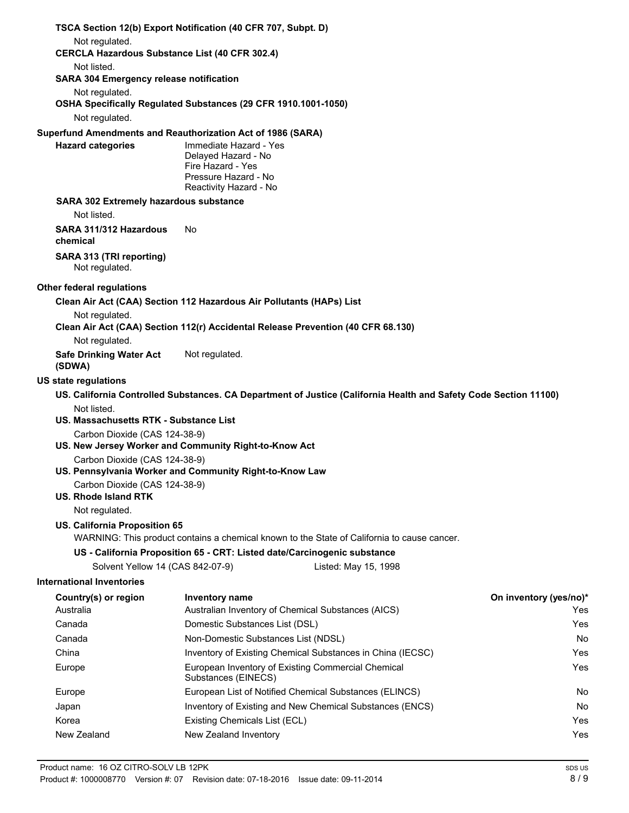| TSCA Section 12(b) Export Notification (40 CFR 707, Subpt. D)                            |                                                                                            |                                                                                                                  |                        |
|------------------------------------------------------------------------------------------|--------------------------------------------------------------------------------------------|------------------------------------------------------------------------------------------------------------------|------------------------|
| Not regulated.<br><b>CERCLA Hazardous Substance List (40 CFR 302.4)</b>                  |                                                                                            |                                                                                                                  |                        |
| Not listed.                                                                              |                                                                                            |                                                                                                                  |                        |
| <b>SARA 304 Emergency release notification</b>                                           |                                                                                            |                                                                                                                  |                        |
| Not regulated.                                                                           |                                                                                            |                                                                                                                  |                        |
| OSHA Specifically Regulated Substances (29 CFR 1910.1001-1050)                           |                                                                                            |                                                                                                                  |                        |
| Not regulated.                                                                           |                                                                                            |                                                                                                                  |                        |
| Superfund Amendments and Reauthorization Act of 1986 (SARA)                              | Immediate Hazard - Yes                                                                     |                                                                                                                  |                        |
| <b>Hazard categories</b>                                                                 | Delayed Hazard - No<br>Fire Hazard - Yes<br>Pressure Hazard - No<br>Reactivity Hazard - No |                                                                                                                  |                        |
| <b>SARA 302 Extremely hazardous substance</b><br>Not listed.                             |                                                                                            |                                                                                                                  |                        |
| SARA 311/312 Hazardous                                                                   | No                                                                                         |                                                                                                                  |                        |
| chemical                                                                                 |                                                                                            |                                                                                                                  |                        |
| SARA 313 (TRI reporting)<br>Not regulated.                                               |                                                                                            |                                                                                                                  |                        |
| Other federal regulations                                                                |                                                                                            |                                                                                                                  |                        |
| Clean Air Act (CAA) Section 112 Hazardous Air Pollutants (HAPs) List                     |                                                                                            |                                                                                                                  |                        |
| Not regulated.                                                                           |                                                                                            | Clean Air Act (CAA) Section 112(r) Accidental Release Prevention (40 CFR 68.130)                                 |                        |
| Not regulated.                                                                           |                                                                                            |                                                                                                                  |                        |
| <b>Safe Drinking Water Act</b><br>(SDWA)                                                 | Not regulated.                                                                             |                                                                                                                  |                        |
| <b>US state regulations</b>                                                              |                                                                                            |                                                                                                                  |                        |
|                                                                                          |                                                                                            | US. California Controlled Substances. CA Department of Justice (California Health and Safety Code Section 11100) |                        |
| Not listed.                                                                              |                                                                                            |                                                                                                                  |                        |
| US. Massachusetts RTK - Substance List                                                   |                                                                                            |                                                                                                                  |                        |
| Carbon Dioxide (CAS 124-38-9)<br>US. New Jersey Worker and Community Right-to-Know Act   |                                                                                            |                                                                                                                  |                        |
| Carbon Dioxide (CAS 124-38-9)<br>US. Pennsylvania Worker and Community Right-to-Know Law |                                                                                            |                                                                                                                  |                        |
| Carbon Dioxide (CAS 124-38-9)                                                            |                                                                                            |                                                                                                                  |                        |
| <b>US. Rhode Island RTK</b>                                                              |                                                                                            |                                                                                                                  |                        |
| Not regulated.                                                                           |                                                                                            |                                                                                                                  |                        |
| US. California Proposition 65                                                            |                                                                                            |                                                                                                                  |                        |
|                                                                                          |                                                                                            | WARNING: This product contains a chemical known to the State of California to cause cancer.                      |                        |
|                                                                                          |                                                                                            | US - California Proposition 65 - CRT: Listed date/Carcinogenic substance                                         |                        |
| Solvent Yellow 14 (CAS 842-07-9)                                                         |                                                                                            | Listed: May 15, 1998                                                                                             |                        |
| <b>International Inventories</b>                                                         |                                                                                            |                                                                                                                  |                        |
| Country(s) or region                                                                     | Inventory name                                                                             |                                                                                                                  | On inventory (yes/no)* |
| Australia<br>Canada                                                                      |                                                                                            | Australian Inventory of Chemical Substances (AICS)                                                               | Yes<br>Yes             |
| Canada                                                                                   | Domestic Substances List (DSL)<br>Non-Domestic Substances List (NDSL)                      |                                                                                                                  | No                     |
| China                                                                                    |                                                                                            | Inventory of Existing Chemical Substances in China (IECSC)                                                       | Yes                    |
| Europe                                                                                   |                                                                                            | European Inventory of Existing Commercial Chemical                                                               | Yes                    |
|                                                                                          | Substances (EINECS)                                                                        |                                                                                                                  |                        |
| Europe                                                                                   |                                                                                            | European List of Notified Chemical Substances (ELINCS)                                                           | No                     |
| Japan                                                                                    |                                                                                            | Inventory of Existing and New Chemical Substances (ENCS)                                                         | No                     |
| Korea                                                                                    | Existing Chemicals List (ECL)                                                              |                                                                                                                  | Yes                    |

New Zealand New Zealand Inventory **New Zealand Inventory New Zealand Inventory**